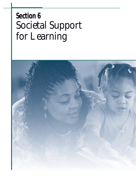# **Section 6** *Societal Support for Learning*

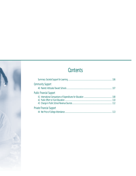## **Contents**

|                                 | 106 |
|---------------------------------|-----|
| <b>Community Support</b>        |     |
|                                 | 107 |
| <b>Public Financial Support</b> |     |
|                                 |     |
|                                 | 110 |
|                                 |     |
| Private Financial Support       |     |
|                                 | 113 |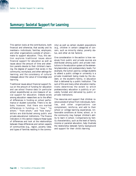#### **Summary: Societal Support for Learning**

This section looks at the contributions, both financial and otherwise, that society and its members—individuals, families, employers, and other organizations outside of school make to support education. Thus, this section explores traditional issues about financial support for education as well as issues about the amount of time and attention parents devote to their children's learning; the degree of support that exists in the community, workplace, and other settings for learning; and the consistency of cultural messages about the value of knowledge and learning.

Traditional issues about financial support focus on the amount of funding for education and use school finance data (in particular school expenditures) as one measure of social support for education. Debate exists among education researchers as to the effect of differences in funding on school performance or student outcomes. There is no debate, however, that there are marked differences in funding—in "how," "to whom," "from whom," and "how many" dollars are distributed among public and private educational institutions. The finance indicators in this section measure these types of differences and look at the relationships between these differences and certain aspects of communities (e.g., region, poverty rates, and types of families residing in the community) as well as certain student populations (e.g., children in certain categories of concern, such as minority status, poverty status, and other at-risk factors).

One consideration in the section is how revenues from public and private sources are distributed among public and private institutions in the education system at the elementary/secondary and postsecondary levels. For example, the tuition paid by college students to attend a public college or university is a private investment being made by the student, or the student's family, in education that is delivered by a public institution. The sum of this and many other allocation mechanisms determines the extent to which postsecondary education is publicly or privately funded and delivered by public or private institutions.

The resources and support that children receive outside of school from individuals, families, and other organizations can complement, reinforce, and add to their school or college learning experiences. Unfavorable conditions at home, school, or in the community may hamper children's ability to learn in school. Comparisons by family characteristics, such as the level of family income or parental education, help illustrate the relationship between family background and support for their child's learning.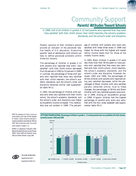#### *Community Support* **Parents' Attitudes Toward Schools**

*In 1999, half of all children in grades 3–12 had parents who reported that they were "very satisfied" with their child's school, their child's teachers, the school's academic standards, and the school's order and discipline.*

Parents' opinions of their children's schools provide an indicator of the perceived relative health of U.S. education. Examining parents' level of satisfaction with schools can help to define perceived problems within America's schools.

The percentage of children in grades 3–12 with parents who reported they were "very satisfied" with their child's school decreased from 56 percent in 1993 to 53 percent in 1999. In contrast, the percentage of those with parents who reported they were very satisfied with their child's teachers, the school's academic standards, and the school's order and discipline remained similar (see supplemental table 40-1).

In 1993, the percentage of children with parents who were very satisfied with their child's school, the school's academic standards, and the school's order and discipline was higher as household income increased. This relationship was not evident in 1999. The percentage of children with parents who were very satisfied with these three areas in 1999 was higher for those with the highest and lowest family income levels than for those at the middle income levels.

In 1993, Black children in grades 3–12 were less likely than their White peers to have parents who reported that they were very satisfied with their child's school, child's teachers, the school's academic standards, and the school's order and discipline. However, between 1993 and 1999, the percentages of White children with parents who reported being very satisfied decreased, while the percentages of Black children with very satisfied parents remained similar. Due to these changes, the percentages of White and Black children with very satisfied parents were similar in 1999. Among all racial/ethnic groups in 1999, Hispanic children had the highest percentage of parents who were very satisfied with the four areas assessed (see supplemental table 40-1).

NOTE: The categories for family income are current dollars, which have not been adjusted for inflation. Caution should be exercised in comparing satisfaction levels between 1993 and 1999. Data include both public and private school students in grades 3–12.

SOURCE: U.S. Department of Education, NCES. National Household Education Surveys Program (NHES), "School Safety and Discipline" survey, 1993 and "Parent Interview" survey, 1999.



FOR MORE INFORMATION: Supplemental Note 1 Supplemental Table 40-1 **ATTITUDES TOWARD SCHOOL: Percentage of children in grades 3–12 whose parents were very satisfied with their schools, by family income: 1993 and 1999**

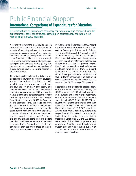#### *Public Financial Support* **International Comparisons of Expenditures for Education**

*U.S. expenditures on primary and secondary education rank high compared with the expenditures of other countries. U.S. spending on postsecondary education is the highest of all the OECD countries.*

A country's investment in education can be measured by its per student expenditures for education from both public and private sources, expressed in absolute terms. When making international comparisons of expenditures for education from both public and private sources, it is also useful to measure expenditures as a percentage of gross domestic product (GDP). Doing so allows a cross-national comparison of expenditures relative to countries' abilities to finance education.

There is a positive relationship between per student expenditures at all levels of education and GDP per capita (OECD 2001). In 1998, wealthier countries, on average, spent more per student for primary, secondary, and postsecondary education than did less wealthy countries as measured by GDP per capita. Annual expenditures per student at the primary level among members of the OECD ranged from \$863 in Mexico to \$6,713 in Denmark. At the secondary level, the range was from \$1,438 in Poland to \$9,348 in Switzerland. U.S. spending on primary and secondary education ranked high compared with the OECD countries, \$6,043 and \$7,764 at the primary and secondary levels, respectively. Only Austria and Switzerland spent more per student than the United States at both the primary and secondary levels. Denmark also spent more per student than the United States at the primary level (see supplemental table 41-1).

In relative terms, the percentage of GDP spent on primary education ranged from 0.7 percent in Germany to 2.3 percent in Poland. The United States spent 1.7 percent of GDP at the primary level, the same percentage as Mexico and Switzerland and a lower percentage than that of only Denmark, Poland, and Sweden (1.8, 2.3, and 2.1 percent, respectively). At the secondary level, relative expenditures varied as well (from 1.1 percent in Poland to 3.2 percent in Austria). The United States spent 2.0 percent of GDP at this level, a lower percentage than that of 13 OECD countries and a slightly lower percentage than the OECD average (2.2 percent).

Expenditures per student for postsecondary education varied considerably among the OECD countries in 1998 although variations in the duration and intensity of postsecondary education among countries make comparisons difficult (OECD 2001). At \$19,802 per student, U.S. expenditures were higher than those of any other OECD country and more than twice those of 16 OECD countries. Among other OECD countries, expenditures ranged from \$3,800 in Mexico to \$16,563 in Switzerland. In relative terms, the United States and Korea spent 2.3 and 2.5 percent, respectively, of their GDP on postsecondary education. Canada, Finland, Iceland and Sweden also had high spending levels, with 1.7 percent or more of GDP devoted to postsecondary education.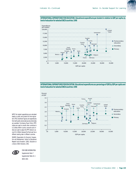

**INTERNATIONAL EXPENDITURES FOR EDUCATION: Educational expenditures per student in relation to GDP per capita, by level of education for selected OECD countries: 1998**

**INTERNATIONAL EXPENDITURES FOR EDUCATION: Educational expenditures as a percentage of GDP, by GDP per capita and level of education for selected OECD countries: 1998**



NOTE: Per student expenditures are calculated based on public and private full-time-equivalent (FTE) enrollment figures and expenditures from both public and private sources where data are available. Purchasing Power Parity (PPP) indices are used to convert other currencies to U.S. dollars. Within-country consumer price indices are used to adjust the PPP indices to account for inflation because the fiscal year has a different starting date in different countries.

SOURCE: Organization for Economic Cooperation and Development, Center for Educational Research and Innovation. (2001). *Education at a Glance: OECD Indicators, 2001*.



FOR MORE INFORMATION: Supplemental Note 7 Supplemental Table 41-1 OECD 2001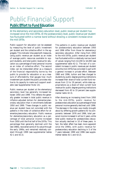#### *Public Financial Support* **Public Effort to Fund Education**

*At the elementary and secondary education level, public revenue per student has increased since the mid-1970s. At the postsecondary level, public revenue per student has fluctuated within a narrow band without showing a consistent increase since the mid-1970s.*

Public support for education can be assessed by measuring the level of public investment per student and the collective effort in the aggregate. This indicator discusses both measures, using public revenue per student as an index of average public resources available to support students, and total public revenue for education as a percentage of total personal income as an index of collective effort. The second index can be interpreted either as a measure of the financial responsibility borne by the public to provide for education or as a measure of *affordability* that gauges how much investment per student the public provides relative to its capacity to make such support available (see *Supplemental Note 13*).

Public revenue per student at the elementary/ secondary level has generally increased between 1950 and 1999. This reflects the generally greater increase in total public revenue in inflation-adjusted dollars for elementary/secondary education than in enrollments between 1950 and 1999. These changes in public revenue per student have not coincided with the patterns in the index of collective effort for elementary/secondary education. Public revenue for elementary/secondary education as a percentage of total personal income increased from 1950 until the first half of the 1970s. This percentage then generally declined until the late 1980s, recovered some of its value through the early 1990s, and remained relatively constant through 1999 (see supplemental tables 42-1 and 42-2).

The patterns in public revenue per student for postsecondary education between 1950 and 1996 differ from those for elementary/ secondary education. After rising from 1950 to the mid-1970s, public revenue per student has fluctuated within a relatively narrow band of values ranging from \$3,200 to \$4,000 (see supplemental table 42-1). The lack of a consistent increase in public revenues per student since the mid-1970s has coincided in part with a general increase in private effort. Between 1980 and 1996, tuition and fees charged to students by public degree-granting institutions increased their share of total current fund revenues from 13 to 19 percent, while state appropriations as a share of total current fund revenue for public degree-granting institutions decreased from 45 to 33 percent (see supplemental table 42-3).

After showing an increasing trend from 1950 to the mid-1970s, public revenue for postsecondary education as a percentage of total personal income generally declined until 1996. The decrease in the index was mostly brought about by differing growth patterns for its components: between 1976 and 1996, total personal income increased in all but 2 years, while total public revenue for postsecondary education actually declined in 10 of these years. In fact, the latter effect has been more apparent since the 1990s, with public revenue for postsecondary education declining in 5 of the 7 years between 1990 and 1996 (see supplemental tables 42-1 and 42-2).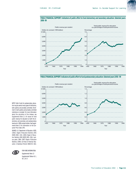



**PUBLIC FINANCIAL SUPPORT: Indicators of public effort to fund postsecondary education: Selected years 1950–99**



NOTE: Public funds for postsecondary education may be used at many types of institutions, both publicly and privately controlled. Enrollment in both publicly and privately controlled institutions is included. For more information about the calculation of the indexes, see *Supplemental Note 13.* All values for total public revenue for education at both the elementary and secondary and postsecondary levels are in 1999 constant dollars. See *Supplemental Note 13* for information on the Consumer Price Index (CPI).

SOURCE: U.S. Department of Education, NCES. (2002). *Digest of Education Statistics 2001* (NCES 2002–134); (2001) *Digest of Education Statistics 2000* (NCES 2001–034); (various years: 1964–1997) *Digest of Education Statistics;* (1993) *120 Years of American Education: A Statistical Portrait* (NCES 93–442).



FOR MORE INFORMATION: Supplemental Note 13 Supplemental Tables 42-1, 42-2, 42-3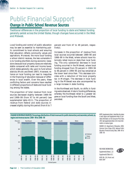#### *Public Financial Support* **Change in Public School Revenue Sources**

*Traditional differences in the proportion of local funding to state and federal funding generally persist across the United States, though changes have occurred in the West and Midwest.*

Local funding and control of public education may be seen as essential to maintaining public commitment to local schools and ensuring that education reflects community values and aspirations. Moreover, the more local funding a school district receives, the less vulnerable it is to funding shortfalls during economic recessions because local property taxes are relatively stable compared with sales and income taxes, which states generally rely upon to fund school districts (Monk and Brent 1997). However, reliance on local funding can lead to inequities in the financing of education because of differences in local wealth. Over the years, these conflicting factors and concerns have resulted in different proportions of state and local funding among the states.

The proportion of total revenue from local sources decreased slightly between 1989–90 and 1998–99 (from 47 to 44 percent) (see supplemental table 43-1). The proportion of revenue from federal and state sources increased slightly during this period (from 6 to 7

percent and from 47 to 49 percent, respectively).

Increases in the proportion of revenue from local sources occurred between 1989–90 and 1998–99 in the West, where schools have historically relied more on state than local funding. The only substantial decrease in local funding occurred in the Midwest, where local funding dropped from 55 percent in 1993–94 to 48 percent in 1994–95 and has remained at the lower level since then. This decrease coincides with a reduction of the local property tax in Michigan. The decrease in local funding in the Midwest was also accompanied by a large increase in state funding.

In the Northeast and South, no shifts in funding were observed. Historic funding differences, whereby the Northeast relied to a greater degree on local funding than the South and West, persisted.





NOTE: *Supplemental Note 1* identifies the states in each region and *Supplemental Note 13* provides information on the Consumer Price Index (CPI). See *Supplemental Note 13* for more information on revenue types.

SOURCE: U.S. Department of Education, NCES. Common Core of Data (CCD), National Public Education Financial Survey Data, 1989–90 to 1998–99.

FOR MORE INFORMATION: Supplemental Notes 1, 13 Supplemental Table 43-1 NCES 98–210; Monk and Brent 1997